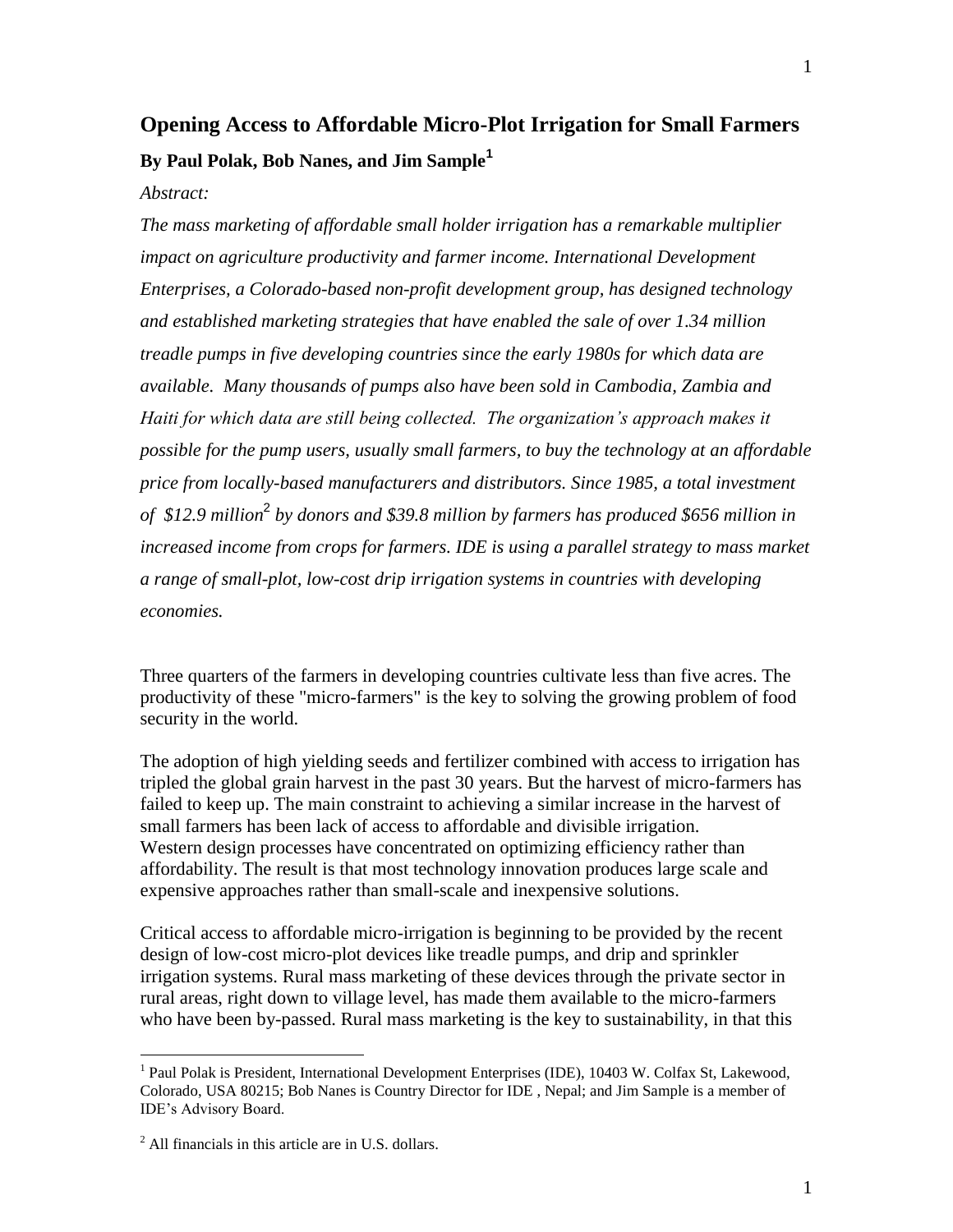# **Opening Access to Affordable Micro-Plot Irrigation for Small Farmers By Paul Polak, Bob Nanes, and Jim Sample<sup>1</sup>**

#### *Abstract:*

*The mass marketing of affordable small holder irrigation has a remarkable multiplier impact on agriculture productivity and farmer income. International Development Enterprises, a Colorado-based non-profit development group, has designed technology and established marketing strategies that have enabled the sale of over 1.34 million treadle pumps in five developing countries since the early 1980s for which data are available. Many thousands of pumps also have been sold in Cambodia, Zambia and Haiti for which data are still being collected. The organization's approach makes it possible for the pump users, usually small farmers, to buy the technology at an affordable price from locally-based manufacturers and distributors. Since 1985, a total investment of \$12.9 million*<sup>2</sup> *by donors and \$39.8 million by farmers has produced \$656 million in increased income from crops for farmers. IDE is using a parallel strategy to mass market a range of small-plot, low-cost drip irrigation systems in countries with developing economies.*

Three quarters of the farmers in developing countries cultivate less than five acres. The productivity of these "micro-farmers" is the key to solving the growing problem of food security in the world.

The adoption of high yielding seeds and fertilizer combined with access to irrigation has tripled the global grain harvest in the past 30 years. But the harvest of micro-farmers has failed to keep up. The main constraint to achieving a similar increase in the harvest of small farmers has been lack of access to affordable and divisible irrigation. Western design processes have concentrated on optimizing efficiency rather than affordability. The result is that most technology innovation produces large scale and expensive approaches rather than small-scale and inexpensive solutions.

Critical access to affordable micro-irrigation is beginning to be provided by the recent design of low-cost micro-plot devices like treadle pumps, and drip and sprinkler irrigation systems. Rural mass marketing of these devices through the private sector in rural areas, right down to village level, has made them available to the micro-farmers who have been by-passed. Rural mass marketing is the key to sustainability, in that this

 $\overline{a}$ 

<sup>&</sup>lt;sup>1</sup> Paul Polak is President, International Development Enterprises (IDE), 10403 W. Colfax St, Lakewood, Colorado, USA 80215; Bob Nanes is Country Director for IDE , Nepal; and Jim Sample is a member of IDE's Advisory Board.

 $<sup>2</sup>$  All financials in this article are in U.S. dollars.</sup>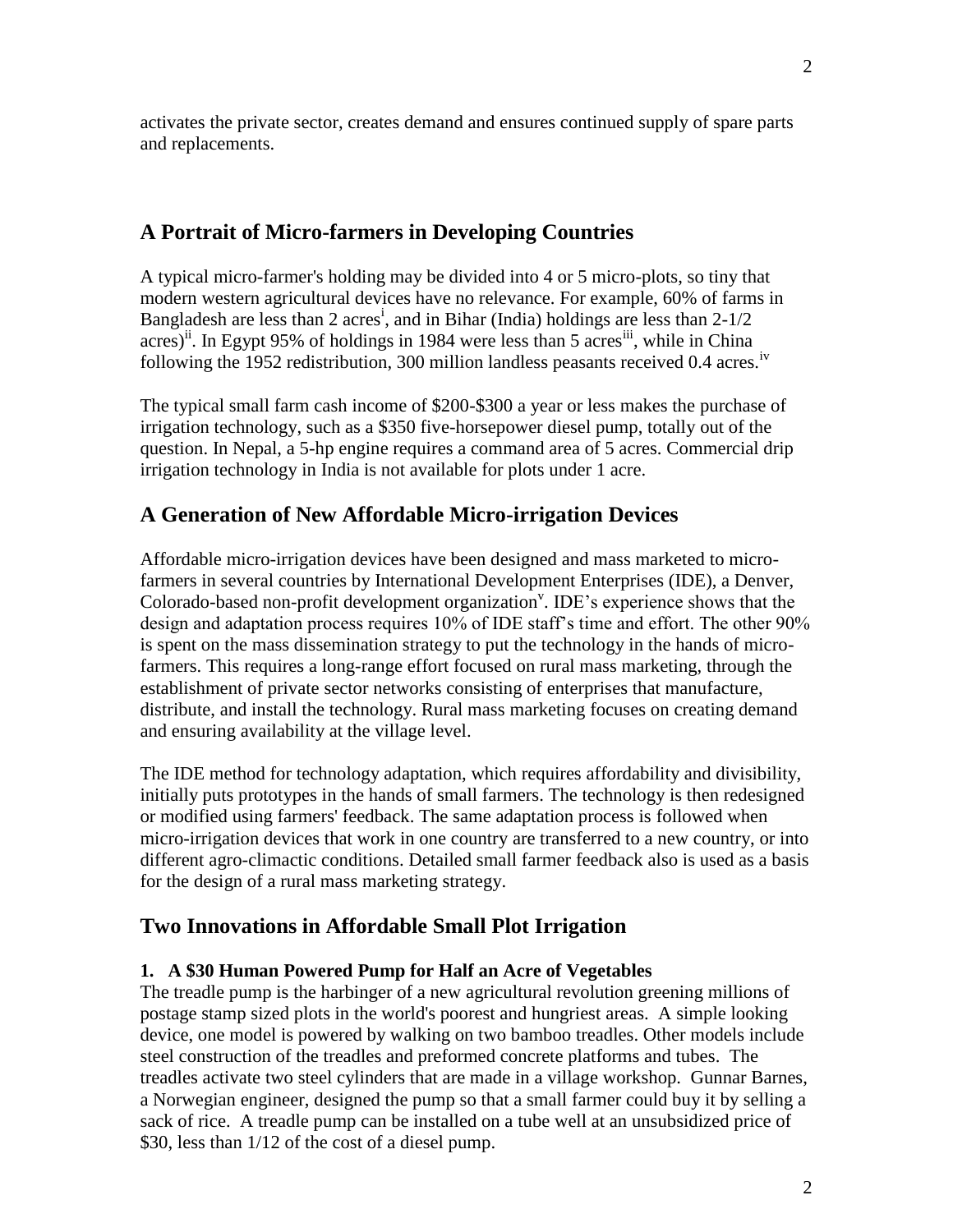2

activates the private sector, creates demand and ensures continued supply of spare parts and replacements.

## **A Portrait of Micro-farmers in Developing Countries**

A typical micro-farmer's holding may be divided into 4 or 5 micro-plots, so tiny that modern western agricultural devices have no relevance. For example, 60% of farms in Bangladesh are less than 2 acres<sup>i</sup>, and in Bihar (India) holdings are less than 2-1/2 acres)<sup>11</sup>. In Egypt 95% of holdings in 1984 were less than 5 acres<sup>iii</sup>, while in China following the 1952 redistribution, 300 million landless peasants received  $0.4$  acres.<sup>iv</sup>

The typical small farm cash income of \$200-\$300 a year or less makes the purchase of irrigation technology, such as a \$350 five-horsepower diesel pump, totally out of the question. In Nepal, a 5-hp engine requires a command area of 5 acres. Commercial drip irrigation technology in India is not available for plots under 1 acre.

## **A Generation of New Affordable Micro-irrigation Devices**

Affordable micro-irrigation devices have been designed and mass marketed to microfarmers in several countries by International Development Enterprises (IDE), a Denver, Colorado-based non-profit development organization<sup>v</sup>. IDE's experience shows that the design and adaptation process requires 10% of IDE staff's time and effort. The other 90% is spent on the mass dissemination strategy to put the technology in the hands of microfarmers. This requires a long-range effort focused on rural mass marketing, through the establishment of private sector networks consisting of enterprises that manufacture, distribute, and install the technology. Rural mass marketing focuses on creating demand and ensuring availability at the village level.

The IDE method for technology adaptation, which requires affordability and divisibility, initially puts prototypes in the hands of small farmers. The technology is then redesigned or modified using farmers' feedback. The same adaptation process is followed when micro-irrigation devices that work in one country are transferred to a new country, or into different agro-climactic conditions. Detailed small farmer feedback also is used as a basis for the design of a rural mass marketing strategy.

### **Two Innovations in Affordable Small Plot Irrigation**

### **1. A \$30 Human Powered Pump for Half an Acre of Vegetables**

The treadle pump is the harbinger of a new agricultural revolution greening millions of postage stamp sized plots in the world's poorest and hungriest areas. A simple looking device, one model is powered by walking on two bamboo treadles. Other models include steel construction of the treadles and preformed concrete platforms and tubes. The treadles activate two steel cylinders that are made in a village workshop. Gunnar Barnes, a Norwegian engineer, designed the pump so that a small farmer could buy it by selling a sack of rice. A treadle pump can be installed on a tube well at an unsubsidized price of \$30, less than 1/12 of the cost of a diesel pump.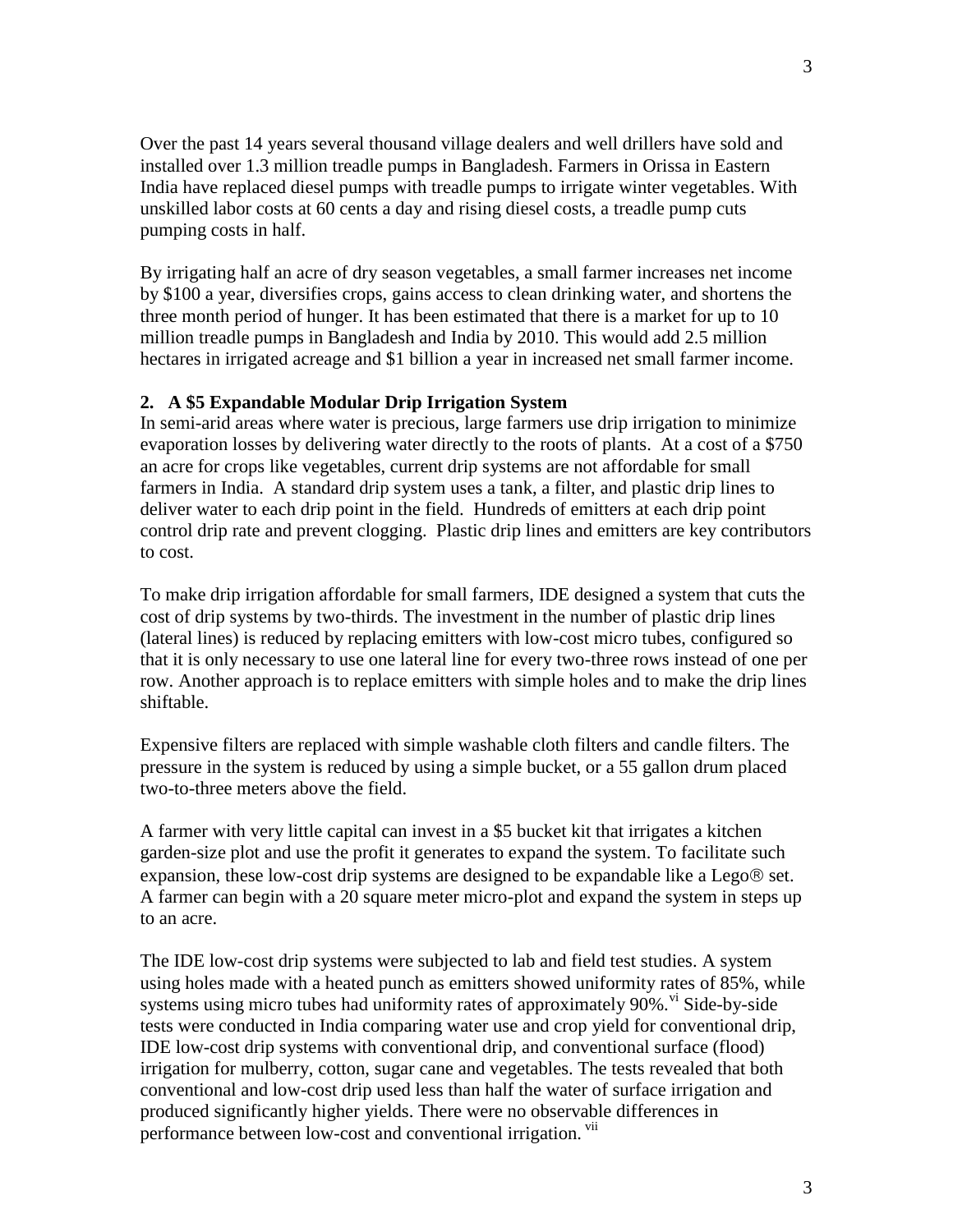Over the past 14 years several thousand village dealers and well drillers have sold and installed over 1.3 million treadle pumps in Bangladesh. Farmers in Orissa in Eastern India have replaced diesel pumps with treadle pumps to irrigate winter vegetables. With unskilled labor costs at 60 cents a day and rising diesel costs, a treadle pump cuts pumping costs in half.

By irrigating half an acre of dry season vegetables, a small farmer increases net income by \$100 a year, diversifies crops, gains access to clean drinking water, and shortens the three month period of hunger. It has been estimated that there is a market for up to 10 million treadle pumps in Bangladesh and India by 2010. This would add 2.5 million hectares in irrigated acreage and \$1 billion a year in increased net small farmer income.

#### **2. A \$5 Expandable Modular Drip Irrigation System**

In semi-arid areas where water is precious, large farmers use drip irrigation to minimize evaporation losses by delivering water directly to the roots of plants. At a cost of a \$750 an acre for crops like vegetables, current drip systems are not affordable for small farmers in India. A standard drip system uses a tank, a filter, and plastic drip lines to deliver water to each drip point in the field. Hundreds of emitters at each drip point control drip rate and prevent clogging. Plastic drip lines and emitters are key contributors to cost.

To make drip irrigation affordable for small farmers, IDE designed a system that cuts the cost of drip systems by two-thirds. The investment in the number of plastic drip lines (lateral lines) is reduced by replacing emitters with low-cost micro tubes, configured so that it is only necessary to use one lateral line for every two-three rows instead of one per row. Another approach is to replace emitters with simple holes and to make the drip lines shiftable.

Expensive filters are replaced with simple washable cloth filters and candle filters. The pressure in the system is reduced by using a simple bucket, or a 55 gallon drum placed two-to-three meters above the field.

A farmer with very little capital can invest in a \$5 bucket kit that irrigates a kitchen garden-size plot and use the profit it generates to expand the system. To facilitate such expansion, these low-cost drip systems are designed to be expandable like a Lego $\circledR$  set. A farmer can begin with a 20 square meter micro-plot and expand the system in steps up to an acre.

The IDE low-cost drip systems were subjected to lab and field test studies. A system using holes made with a heated punch as emitters showed uniformity rates of 85%, while systems using micro tubes had uniformity rates of approximately  $90\%$ . <sup>Vi</sup> Side-by-side tests were conducted in India comparing water use and crop yield for conventional drip, IDE low-cost drip systems with conventional drip, and conventional surface (flood) irrigation for mulberry, cotton, sugar cane and vegetables. The tests revealed that both conventional and low-cost drip used less than half the water of surface irrigation and produced significantly higher yields. There were no observable differences in performance between low-cost and conventional irrigation. <sup>vii</sup>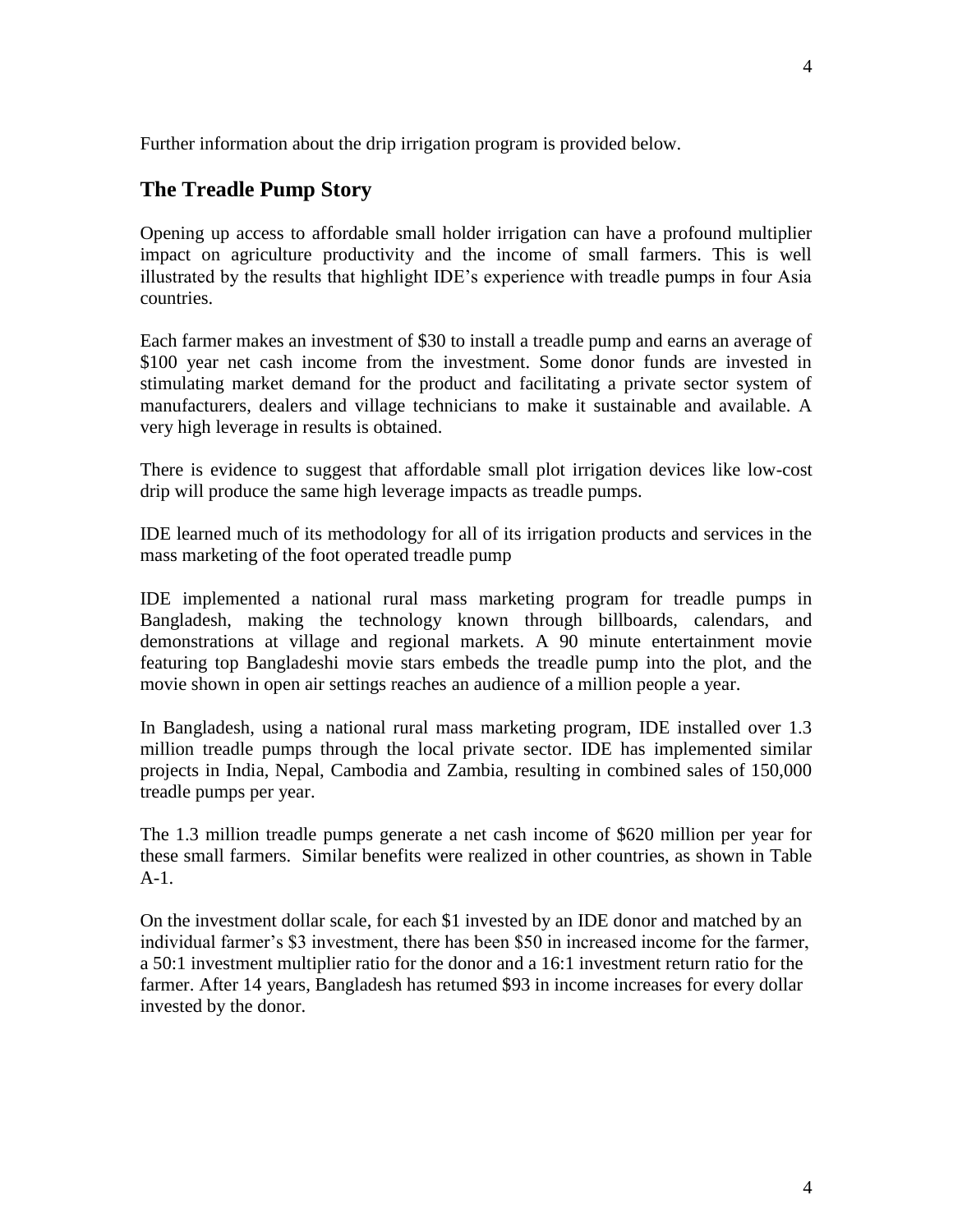Further information about the drip irrigation program is provided below.

#### **The Treadle Pump Story**

Opening up access to affordable small holder irrigation can have a profound multiplier impact on agriculture productivity and the income of small farmers. This is well illustrated by the results that highlight IDE's experience with treadle pumps in four Asia countries.

Each farmer makes an investment of \$30 to install a treadle pump and earns an average of \$100 year net cash income from the investment. Some donor funds are invested in stimulating market demand for the product and facilitating a private sector system of manufacturers, dealers and village technicians to make it sustainable and available. A very high leverage in results is obtained.

There is evidence to suggest that affordable small plot irrigation devices like low-cost drip will produce the same high leverage impacts as treadle pumps.

IDE learned much of its methodology for all of its irrigation products and services in the mass marketing of the foot operated treadle pump

IDE implemented a national rural mass marketing program for treadle pumps in Bangladesh, making the technology known through billboards, calendars, and demonstrations at village and regional markets. A 90 minute entertainment movie featuring top Bangladeshi movie stars embeds the treadle pump into the plot, and the movie shown in open air settings reaches an audience of a million people a year.

In Bangladesh, using a national rural mass marketing program, IDE installed over 1.3 million treadle pumps through the local private sector. IDE has implemented similar projects in India, Nepal, Cambodia and Zambia, resulting in combined sales of 150,000 treadle pumps per year.

The 1.3 million treadle pumps generate a net cash income of \$620 million per year for these small farmers. Similar benefits were realized in other countries, as shown in Table A-1.

On the investment dollar scale, for each \$1 invested by an IDE donor and matched by an individual farmer's \$3 investment, there has been \$50 in increased income for the farmer, a 50:1 investment multiplier ratio for the donor and a 16:1 investment return ratio for the farmer. After 14 years, Bangladesh has retumed \$93 in income increases for every dollar invested by the donor.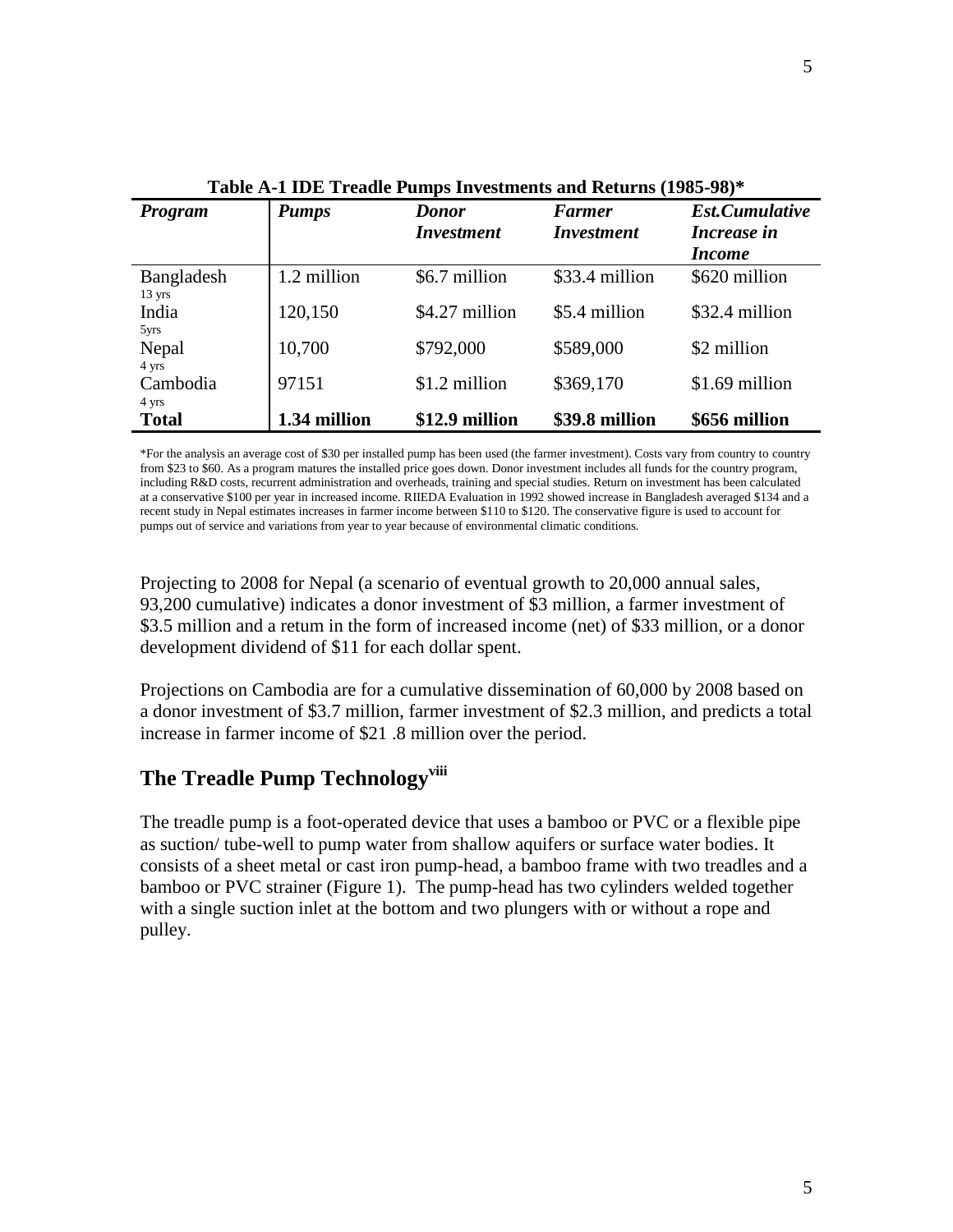| Table A-T TDE TTeaule I unips Investments and Acturns (1705-70) |              |                                   |                                    |                                                       |
|-----------------------------------------------------------------|--------------|-----------------------------------|------------------------------------|-------------------------------------------------------|
| Program                                                         | <b>Pumps</b> | <b>Donor</b><br><b>Investment</b> | <b>Farmer</b><br><i>Investment</i> | <b>Est.Cumulative</b><br>Increase in<br><i>Income</i> |
| Bangladesh<br>$13 \text{ yrs}$                                  | 1.2 million  | \$6.7 million                     | \$33.4 million                     | \$620 million                                         |
| India<br>5yrs                                                   | 120,150      | \$4.27 million                    | \$5.4 million                      | \$32.4 million                                        |
| Nepal<br>4 yrs                                                  | 10,700       | \$792,000                         | \$589,000                          | \$2 million                                           |
| Cambodia<br>4 yrs                                               | 97151        | \$1.2 million                     | \$369,170                          | \$1.69 million                                        |
| <b>Total</b>                                                    | 1.34 million | \$12.9 million                    | \$39.8 million                     | \$656 million                                         |

**Table A-1 IDE Treadle Pumps Investments and Returns (1985-98)\***

\*For the analysis an average cost of \$30 per installed pump has been used (the farmer investment). Costs vary from country to country from \$23 to \$60. As a program matures the installed price goes down. Donor investment includes all funds for the country program, including R&D costs, recurrent administration and overheads, training and special studies. Return on investment has been calculated at a conservative \$100 per year in increased income. RIIEDA Evaluation in 1992 showed increase in Bangladesh averaged \$134 and a recent study in Nepal estimates increases in farmer income between \$110 to \$120. The conservative figure is used to account for pumps out of service and variations from year to year because of environmental climatic conditions.

Projecting to 2008 for Nepal (a scenario of eventual growth to 20,000 annual sales, 93,200 cumulative) indicates a donor investment of \$3 million, a farmer investment of \$3.5 million and a retum in the form of increased income (net) of \$33 million, or a donor development dividend of \$11 for each dollar spent.

Projections on Cambodia are for a cumulative dissemination of 60,000 by 2008 based on a donor investment of \$3.7 million, farmer investment of \$2.3 million, and predicts a total increase in farmer income of \$21 .8 million over the period.

## **The Treadle Pump Technologyviii**

The treadle pump is a foot-operated device that uses a bamboo or PVC or a flexible pipe as suction/ tube-well to pump water from shallow aquifers or surface water bodies. It consists of a sheet metal or cast iron pump-head, a bamboo frame with two treadles and a bamboo or PVC strainer (Figure 1). The pump-head has two cylinders welded together with a single suction inlet at the bottom and two plungers with or without a rope and pulley.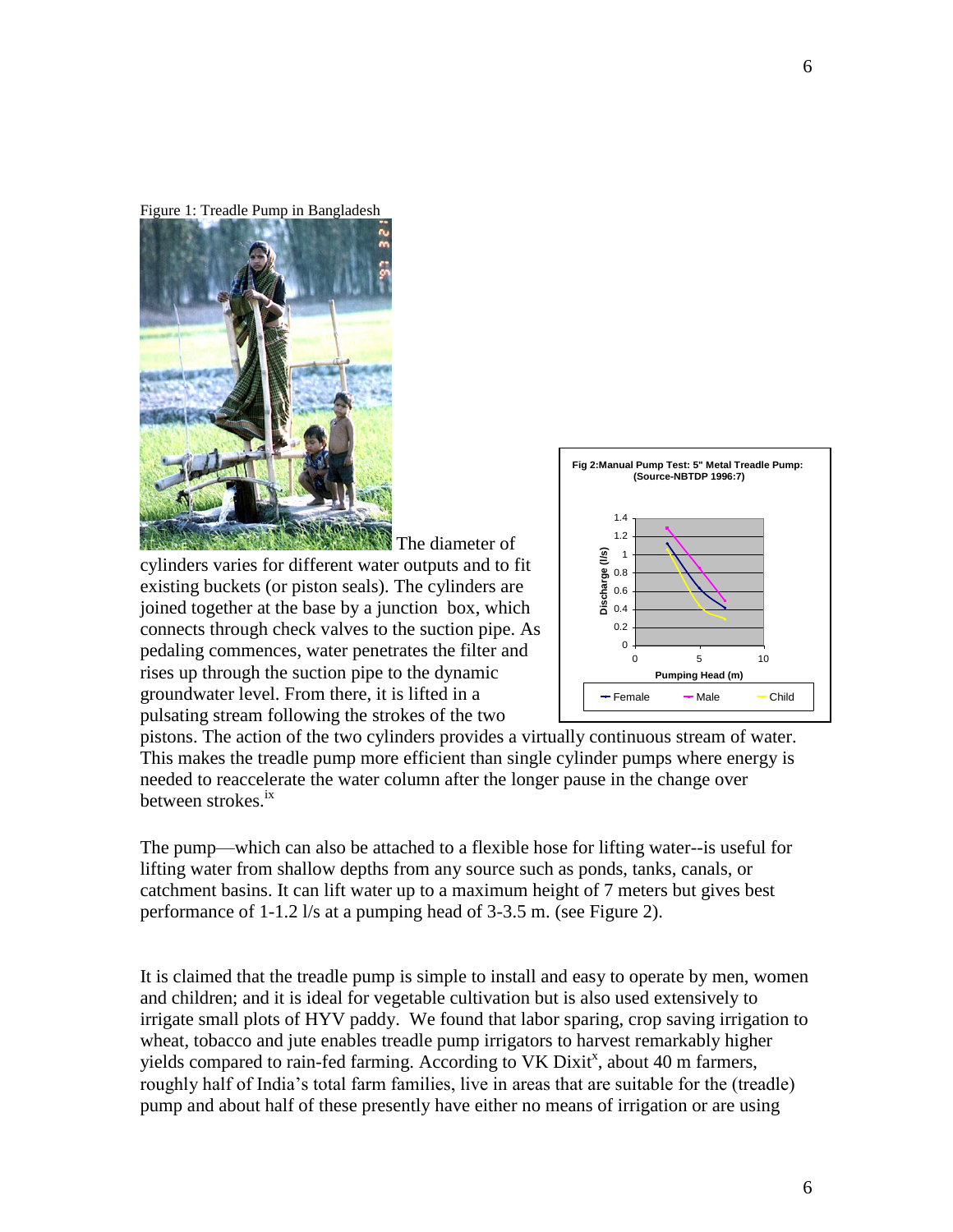Figure 1: Treadle Pump in Bangladesh



cylinders varies for different water outputs and to fit existing buckets (or piston seals). The cylinders are joined together at the base by a junction box, which connects through check valves to the suction pipe. As pedaling commences, water penetrates the filter and rises up through the suction pipe to the dynamic groundwater level. From there, it is lifted in a pulsating stream following the strokes of the two



pistons. The action of the two cylinders provides a virtually continuous stream of water. This makes the treadle pump more efficient than single cylinder pumps where energy is needed to reaccelerate the water column after the longer pause in the change over between strokes.<sup>ix</sup>

The diameter of

The pump—which can also be attached to a flexible hose for lifting water--is useful for lifting water from shallow depths from any source such as ponds, tanks, canals, or catchment basins. It can lift water up to a maximum height of 7 meters but gives best performance of 1-1.2 l/s at a pumping head of 3-3.5 m. (see Figure 2).

It is claimed that the treadle pump is simple to install and easy to operate by men, women and children; and it is ideal for vegetable cultivation but is also used extensively to irrigate small plots of HYV paddy. We found that labor sparing, crop saving irrigation to wheat, tobacco and jute enables treadle pump irrigators to harvest remarkably higher yields compared to rain-fed farming. According to VK Dixit<sup>x</sup>, about 40 m farmers, roughly half of India's total farm families, live in areas that are suitable for the (treadle) pump and about half of these presently have either no means of irrigation or are using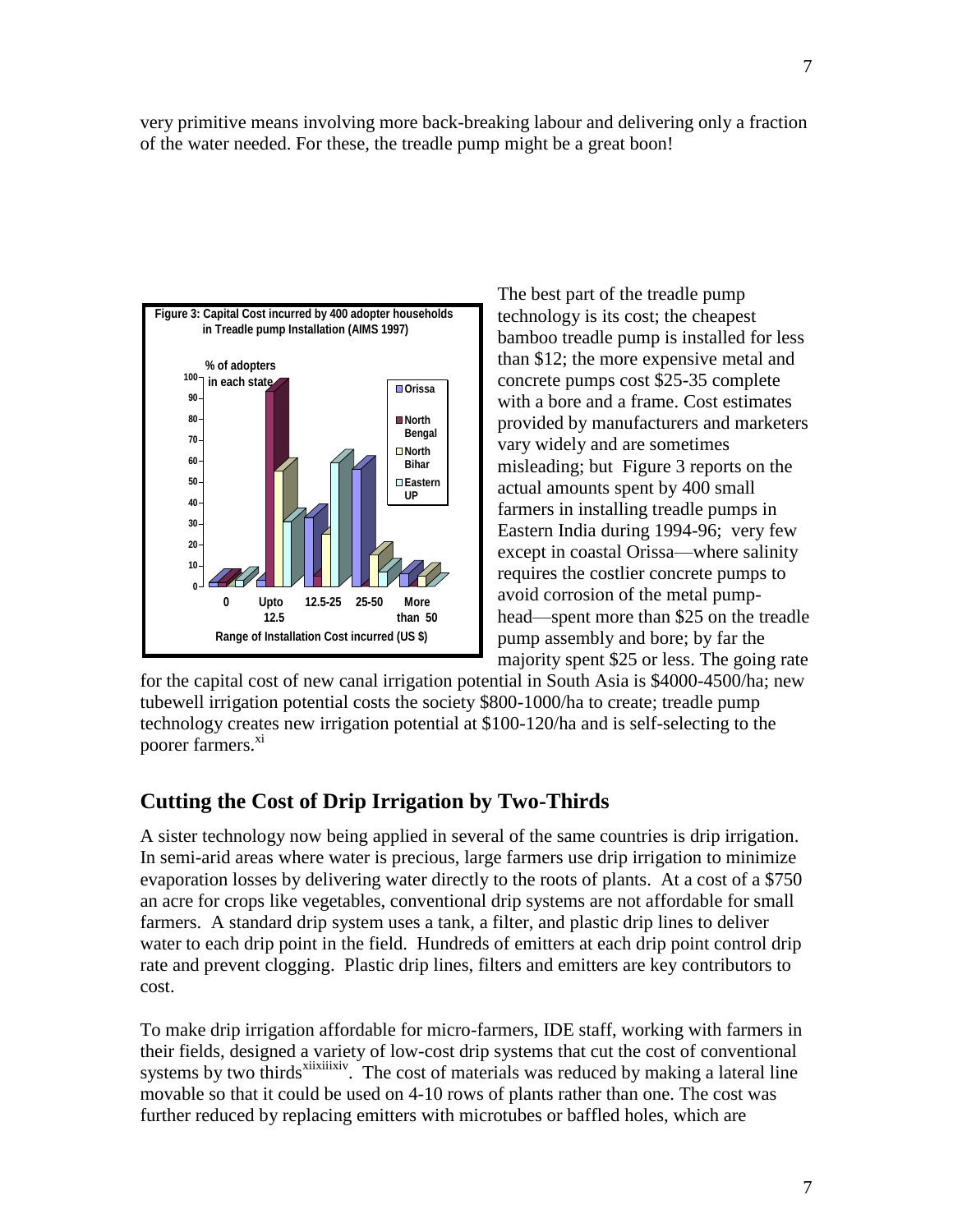very primitive means involving more back-breaking labour and delivering only a fraction of the water needed. For these, the treadle pump might be a great boon!



The best part of the treadle pump technology is its cost; the cheapest bamboo treadle pump is installed for less than \$12; the more expensive metal and concrete pumps cost \$25-35 complete with a bore and a frame. Cost estimates provided by manufacturers and marketers vary widely and are sometimes misleading; but Figure 3 reports on the actual amounts spent by 400 small farmers in installing treadle pumps in Eastern India during 1994-96; very few except in coastal Orissa—where salinity requires the costlier concrete pumps to avoid corrosion of the metal pumphead—spent more than \$25 on the treadle pump assembly and bore; by far the majority spent \$25 or less. The going rate

for the capital cost of new canal irrigation potential in South Asia is \$4000-4500/ha; new tubewell irrigation potential costs the society \$800-1000/ha to create; treadle pump technology creates new irrigation potential at \$100-120/ha and is self-selecting to the poorer farmers.<sup>xi</sup>

### **Cutting the Cost of Drip Irrigation by Two-Thirds**

A sister technology now being applied in several of the same countries is drip irrigation. In semi-arid areas where water is precious, large farmers use drip irrigation to minimize evaporation losses by delivering water directly to the roots of plants. At a cost of a \$750 an acre for crops like vegetables, conventional drip systems are not affordable for small farmers. A standard drip system uses a tank, a filter, and plastic drip lines to deliver water to each drip point in the field. Hundreds of emitters at each drip point control drip rate and prevent clogging. Plastic drip lines, filters and emitters are key contributors to cost.

To make drip irrigation affordable for micro-farmers, IDE staff, working with farmers in their fields, designed a variety of low-cost drip systems that cut the cost of conventional systems by two thirds<sup>xiixiiixiv</sup>. The cost of materials was reduced by making a lateral line movable so that it could be used on 4-10 rows of plants rather than one. The cost was further reduced by replacing emitters with microtubes or baffled holes, which are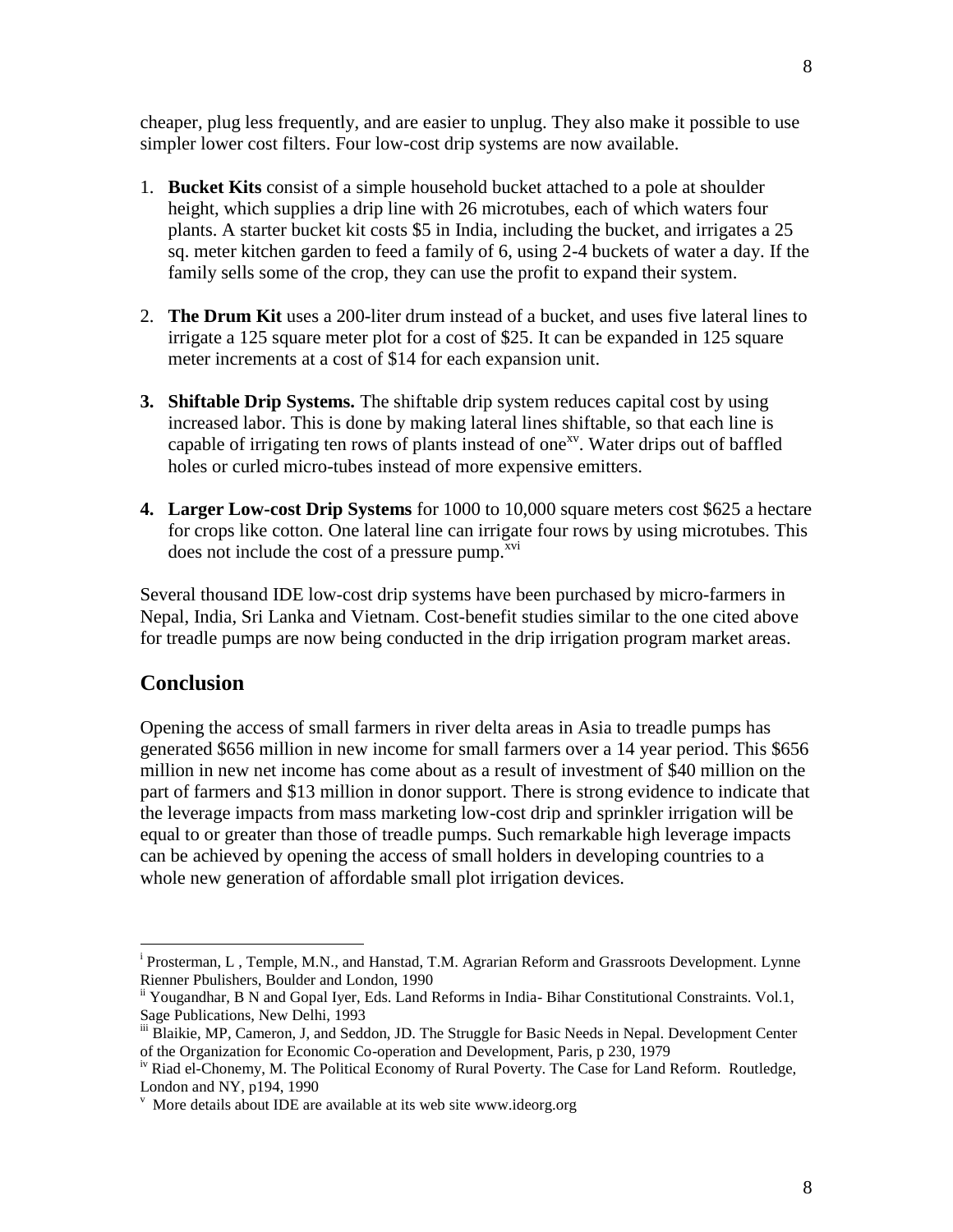cheaper, plug less frequently, and are easier to unplug. They also make it possible to use simpler lower cost filters. Four low-cost drip systems are now available.

- 1. **Bucket Kits** consist of a simple household bucket attached to a pole at shoulder height, which supplies a drip line with 26 microtubes, each of which waters four plants. A starter bucket kit costs \$5 in India, including the bucket, and irrigates a 25 sq. meter kitchen garden to feed a family of 6, using 2-4 buckets of water a day. If the family sells some of the crop, they can use the profit to expand their system.
- 2. **The Drum Kit** uses a 200-liter drum instead of a bucket, and uses five lateral lines to irrigate a 125 square meter plot for a cost of \$25. It can be expanded in 125 square meter increments at a cost of \$14 for each expansion unit.
- **3. Shiftable Drip Systems.** The shiftable drip system reduces capital cost by using increased labor. This is done by making lateral lines shiftable, so that each line is capable of irrigating ten rows of plants instead of one<sup>xy</sup>. Water drips out of baffled holes or curled micro-tubes instead of more expensive emitters.
- **4. Larger Low-cost Drip Systems** for 1000 to 10,000 square meters cost \$625 a hectare for crops like cotton. One lateral line can irrigate four rows by using microtubes. This does not include the cost of a pressure pump. $^{xvi}$

Several thousand IDE low-cost drip systems have been purchased by micro-farmers in Nepal, India, Sri Lanka and Vietnam. Cost-benefit studies similar to the one cited above for treadle pumps are now being conducted in the drip irrigation program market areas.

### **Conclusion**

 $\overline{a}$ 

Opening the access of small farmers in river delta areas in Asia to treadle pumps has generated \$656 million in new income for small farmers over a 14 year period. This \$656 million in new net income has come about as a result of investment of \$40 million on the part of farmers and \$13 million in donor support. There is strong evidence to indicate that the leverage impacts from mass marketing low-cost drip and sprinkler irrigation will be equal to or greater than those of treadle pumps. Such remarkable high leverage impacts can be achieved by opening the access of small holders in developing countries to a whole new generation of affordable small plot irrigation devices.

<sup>&</sup>lt;sup>i</sup> Prosterman, L, Temple, M.N., and Hanstad, T.M. Agrarian Reform and Grassroots Development. Lynne Rienner Pbulishers, Boulder and London, 1990

ii Yougandhar, B N and Gopal Iyer, Eds. Land Reforms in India- Bihar Constitutional Constraints. Vol.1, Sage Publications, New Delhi, 1993

iii Blaikie, MP, Cameron, J, and Seddon, JD. The Struggle for Basic Needs in Nepal. Development Center of the Organization for Economic Co-operation and Development, Paris, p 230, 1979

<sup>&</sup>lt;sup>iv</sup> Riad el-Chonemy, M. The Political Economy of Rural Poverty. The Case for Land Reform. Routledge, London and NY, p194, 1990

v More details about IDE are available at its web site www.ideorg.org